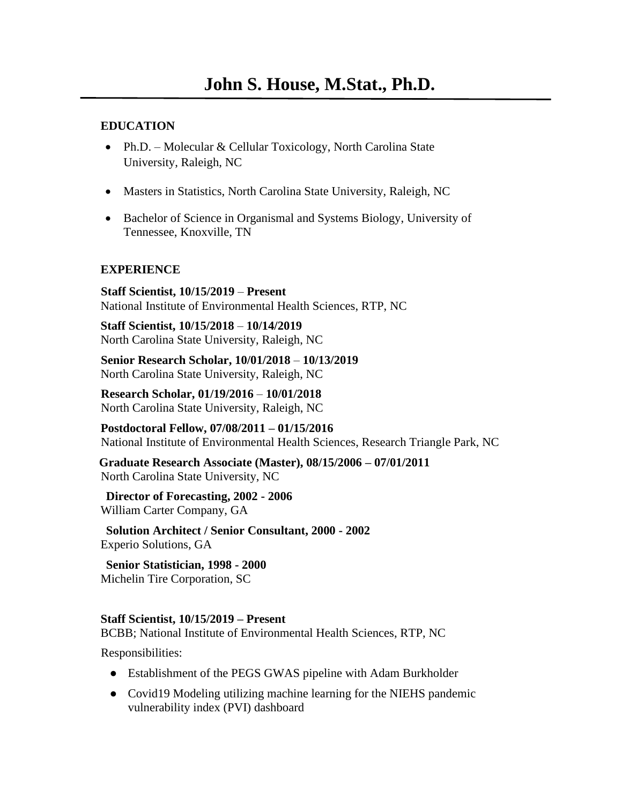#### **EDUCATION**

- Ph.D. Molecular & Cellular Toxicology, North Carolina State University, Raleigh, NC
- Masters in Statistics, North Carolina State University, Raleigh, NC
- Bachelor of Science in Organismal and Systems Biology, University of Tennessee, Knoxville, TN

#### **EXPERIENCE**

**Staff Scientist, 10/15/2019** – **Present**  National Institute of Environmental Health Sciences, RTP, NC

**Staff Scientist, 10/15/2018** – **10/14/2019**  North Carolina State University, Raleigh, NC

**Senior Research Scholar, 10/01/2018** – **10/13/2019**  North Carolina State University, Raleigh, NC

**Research Scholar, 01/19/2016** – **10/01/2018**  North Carolina State University, Raleigh, NC

**Postdoctoral Fellow, 07/08/2011 – 01/15/2016**  National Institute of Environmental Health Sciences, Research Triangle Park, NC

**Graduate Research Associate (Master), 08/15/2006 – 07/01/2011**  North Carolina State University, NC

## **Director of Forecasting, 2002 - 2006**

William Carter Company, GA

**Solution Architect / Senior Consultant, 2000 - 2002**  Experio Solutions, GA

**Senior Statistician, 1998 - 2000**  Michelin Tire Corporation, SC

#### **Staff Scientist, 10/15/2019 – Present**

BCBB; National Institute of Environmental Health Sciences, RTP, NC

Responsibilities:

- Establishment of the PEGS GWAS pipeline with Adam Burkholder
- Covid19 Modeling utilizing machine learning for the NIEHS pandemic vulnerability index (PVI) dashboard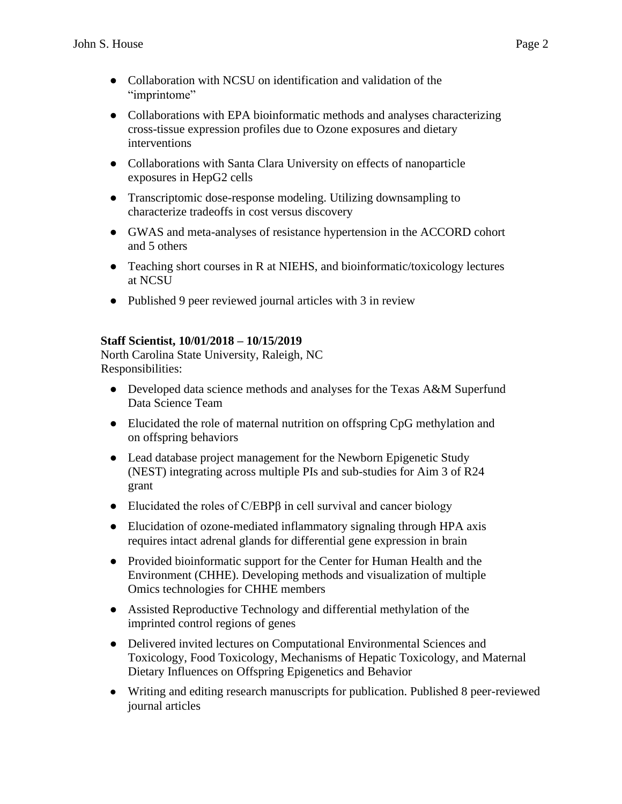- Collaboration with NCSU on identification and validation of the "imprintome"
- Collaborations with EPA bioinformatic methods and analyses characterizing cross-tissue expression profiles due to Ozone exposures and dietary interventions
- Collaborations with Santa Clara University on effects of nanoparticle exposures in HepG2 cells
- Transcriptomic dose-response modeling. Utilizing downsampling to characterize tradeoffs in cost versus discovery
- GWAS and meta-analyses of resistance hypertension in the ACCORD cohort and 5 others
- Teaching short courses in R at NIEHS, and bioinformatic/toxicology lectures at NCSU
- Published 9 peer reviewed journal articles with 3 in review

#### **Staff Scientist, 10/01/2018 – 10/15/2019**

North Carolina State University, Raleigh, NC Responsibilities:

- Developed data science methods and analyses for the Texas A&M Superfund Data Science Team
- Elucidated the role of maternal nutrition on offspring CpG methylation and on offspring behaviors
- Lead database project management for the Newborn Epigenetic Study (NEST) integrating across multiple PIs and sub-studies for Aim 3 of R24 grant
- Elucidated the roles of  $C/EBP\beta$  in cell survival and cancer biology
- Elucidation of ozone-mediated inflammatory signaling through HPA axis requires intact adrenal glands for differential gene expression in brain
- ● Provided bioinformatic support for the Center for Human Health and the Environment (CHHE). Developing methods and visualization of multiple Omics technologies for CHHE members
- Assisted Reproductive Technology and differential methylation of the imprinted control regions of genes
- Delivered invited lectures on Computational Environmental Sciences and Toxicology, Food Toxicology, Mechanisms of Hepatic Toxicology, and Maternal Dietary Influences on Offspring Epigenetics and Behavior
- Writing and editing research manuscripts for publication. Published 8 peer-reviewed journal articles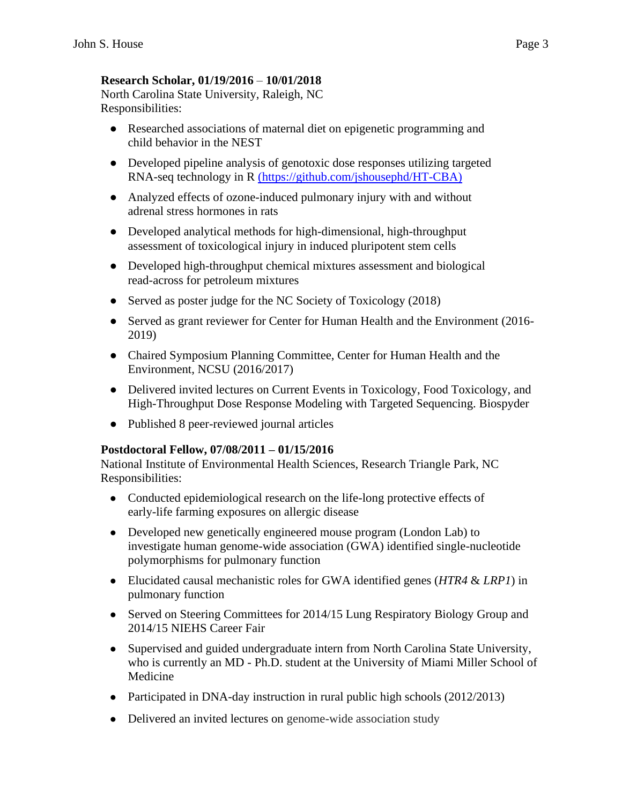### **Research Scholar, 01/19/2016** – **10/01/2018**

North Carolina State University, Raleigh, NC Responsibilities:

- Researched associations of maternal diet on epigenetic programming and child behavior in the NEST
- Developed pipeline analysis of genotoxic dose responses utilizing targeted RNA-seq technology in R [\(https://github.com/jshousephd/HT-CBA](https://github.com/jshousephd/HT-CBA))
- Analyzed effects of ozone-induced pulmonary injury with and without adrenal stress hormones in rats
- Developed analytical methods for high-dimensional, high-throughput assessment of toxicological injury in induced pluripotent stem cells
- Developed high-throughput chemical mixtures assessment and biological read-across for petroleum mixtures
- Served as poster judge for the NC Society of Toxicology (2018)
- Served as grant reviewer for Center for Human Health and the Environment (2016- 2019)
- Chaired Symposium Planning Committee, Center for Human Health and the Environment, NCSU (2016/2017)
- Delivered invited lectures on Current Events in Toxicology, Food Toxicology, and High-Throughput Dose Response Modeling with Targeted Sequencing. Biospyder
- Published 8 peer-reviewed journal articles

#### **Postdoctoral Fellow, 07/08/2011 – 01/15/2016**

National Institute of Environmental Health Sciences, Research Triangle Park, NC Responsibilities:

- Conducted epidemiological research on the life-long protective effects of early-life farming exposures on allergic disease
- Developed new genetically engineered mouse program (London Lab) to investigate human genome-wide association (GWA) identified single-nucleotide polymorphisms for pulmonary function
- Elucidated causal mechanistic roles for GWA identified genes (*HTR4* & *LRP1*) in pulmonary function
- Served on Steering Committees for 2014/15 Lung Respiratory Biology Group and 2014/15 NIEHS Career Fair
- Supervised and guided undergraduate intern from North Carolina State University, who is currently an MD - Ph.D. student at the University of Miami Miller School of Medicine
- Participated in DNA-day instruction in rural public high schools (2012/2013)
- Delivered an invited lectures on genome-wide association study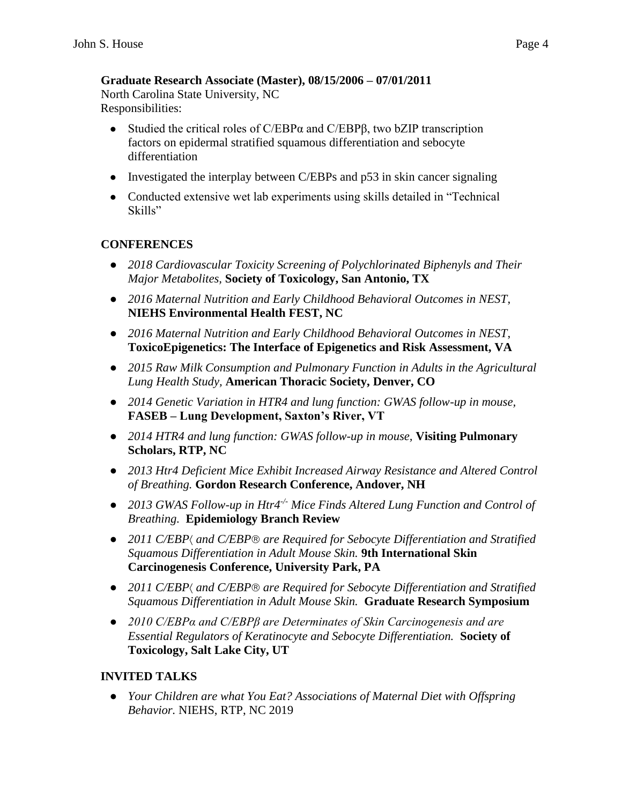# **Graduate Research Associate (Master), 08/15/2006 – 07/01/2011**

North Carolina State University, NC Responsibilities:

- Studied the critical roles of C/EBP $\alpha$  and C/EBP $\beta$ , two bZIP transcription factors on epidermal stratified squamous differentiation and sebocyte differentiation
- Investigated the interplay between C/EBPs and  $p53$  in skin cancer signaling
- Conducted extensive wet lab experiments using skills detailed in "Technical" Skills"

## **CONFERENCES**

- *2018 Cardiovascular Toxicity Screening of Polychlorinated Biphenyls and Their Major Metabolites,* **Society of Toxicology, San Antonio, TX**
- *2016 Maternal Nutrition and Early Childhood Behavioral Outcomes in NEST*, **NIEHS Environmental Health FEST, NC**
- *2016 Maternal Nutrition and Early Childhood Behavioral Outcomes in NEST*, **ToxicoEpigenetics: The Interface of Epigenetics and Risk Assessment, VA**
- *2015 Raw Milk Consumption and Pulmonary Function in Adults in the Agricultural Lung Health Study,* **American Thoracic Society, Denver, CO**
- *2014 Genetic Variation in HTR4 and lung function: GWAS follow-up in mouse,*  **FASEB – Lung Development, Saxton's River, VT**
- *2014 HTR4 and lung function: GWAS follow-up in mouse,* **Visiting Pulmonary Scholars, RTP, NC**
- *2013 Htr4 Deficient Mice Exhibit Increased Airway Resistance and Altered Control of Breathing.* **Gordon Research Conference, Andover, NH**
- *2013 GWAS Follow-up in Htr4<sup>-/-</sup> Mice Finds Altered Lung Function and Control of Breathing.* **Epidemiology Branch Review**
- *2011 C/EBP* $\langle$  and C/EBP<sup>®</sup> are Required for Sebocyte Differentiation and Stratified *Squamous Differentiation in Adult Mouse Skin.* **9th International Skin Carcinogenesis Conference, University Park, PA**
- *2011 C/EBP and C/EBP are Required for Sebocyte Differentiation and Stratified Squamous Differentiation in Adult Mouse Skin.* **Graduate Research Symposium**
- *2010 C/EBPα and C/EBPβ are Determinates of Skin Carcinogenesis and are Essential Regulators of Keratinocyte and Sebocyte Differentiation.* **Society of Toxicology, Salt Lake City, UT**

# **INVITED TALKS**

● *Your Children are what You Eat? Associations of Maternal Diet with Offspring Behavior.* NIEHS, RTP, NC 2019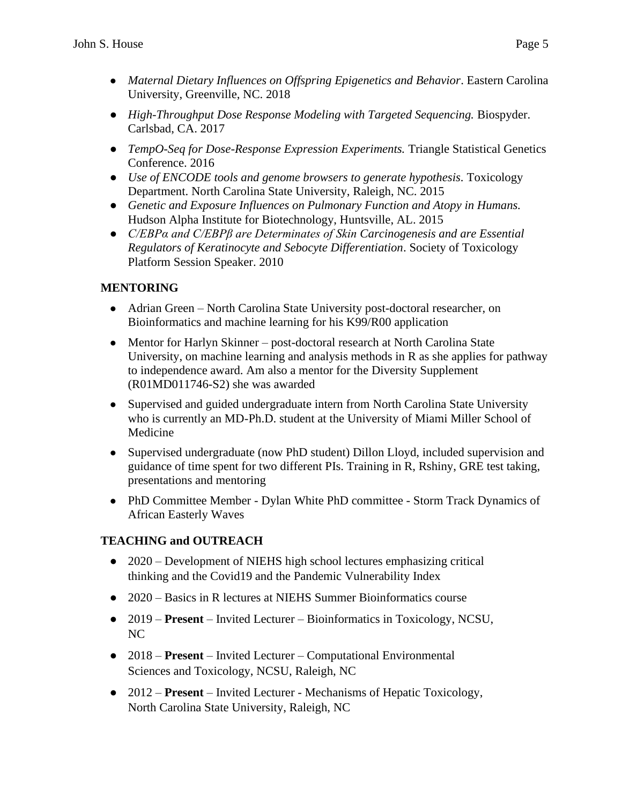- *Maternal Dietary Influences on Offspring Epigenetics and Behavior*. Eastern Carolina University, Greenville, NC. 2018
- *High-Throughput Dose Response Modeling with Targeted Sequencing.* Biospyder. Carlsbad, CA. 2017
- *TempO-Seq for Dose-Response Expression Experiments.* Triangle Statistical Genetics Conference. 2016
- *Use of ENCODE tools and genome browsers to generate hypothesis.* Toxicology Department. North Carolina State University, Raleigh, NC. 2015
- *Genetic and Exposure Influences on Pulmonary Function and Atopy in Humans.*  Hudson Alpha Institute for Biotechnology, Huntsville, AL. 2015
- *C/EBPα and C/EBPβ are Determinates of Skin Carcinogenesis and are Essential Regulators of Keratinocyte and Sebocyte Differentiation*. Society of Toxicology Platform Session Speaker. 2010

# **MENTORING**

- Adrian Green North Carolina State University post-doctoral researcher, on Bioinformatics and machine learning for his K99/R00 application
- Mentor for Harlyn Skinner post-doctoral research at North Carolina State University, on machine learning and analysis methods in R as she applies for pathway to independence award. Am also a mentor for the Diversity Supplement (R01MD011746-S2) she was awarded
- Supervised and guided undergraduate intern from North Carolina State University who is currently an MD-Ph.D. student at the University of Miami Miller School of Medicine
- Supervised undergraduate (now PhD student) Dillon Lloyd, included supervision and guidance of time spent for two different PIs. Training in R, Rshiny, GRE test taking, presentations and mentoring
- PhD Committee Member Dylan White PhD committee Storm Track Dynamics of African Easterly Waves

# **TEACHING and OUTREACH**

- 2020 Development of NIEHS high school lectures emphasizing critical thinking and the Covid19 and the Pandemic Vulnerability Index
- 2020 Basics in R lectures at NIEHS Summer Bioinformatics course
- 2019 **Present**  Invited Lecturer Bioinformatics in Toxicology, NCSU, NC
- 2018 **Present**  Invited Lecturer Computational Environmental Sciences and Toxicology, NCSU, Raleigh, NC
- 2012 **Present**  Invited Lecturer Mechanisms of Hepatic Toxicology, North Carolina State University, Raleigh, NC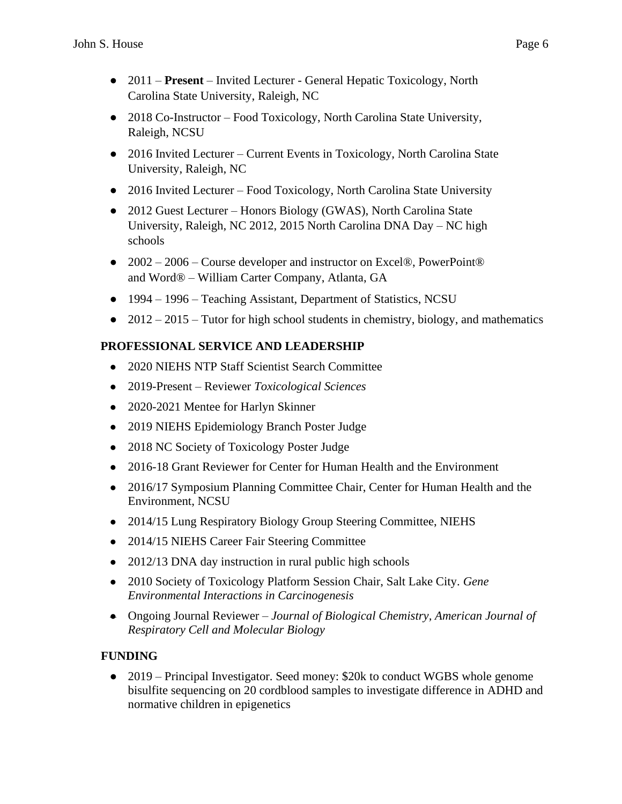- 2011 **Present**  Invited Lecturer General Hepatic Toxicology, North Carolina State University, Raleigh, NC
- 2018 Co-Instructor Food Toxicology, North Carolina State University, Raleigh, NCSU
- 2016 Invited Lecturer Current Events in Toxicology, North Carolina State University, Raleigh, NC
- 2016 Invited Lecturer Food Toxicology, North Carolina State University
- 2012 Guest Lecturer Honors Biology (GWAS), North Carolina State University, Raleigh, NC 2012, 2015 North Carolina DNA Day – NC high schools
- 2002 2006 Course developer and instructor on Excel®, PowerPoint® and Word® – William Carter Company, Atlanta, GA
- 1994 1996 Teaching Assistant, Department of Statistics, NCSU
- $\bullet$  2012 2015 Tutor for high school students in chemistry, biology, and mathematics

## **PROFESSIONAL SERVICE AND LEADERSHIP**

- 2020 NIEHS NTP Staff Scientist Search Committee
- 2019-Present Reviewer *Toxicological Sciences*
- 2020-2021 Mentee for Harlyn Skinner
- 2019 NIEHS Epidemiology Branch Poster Judge
- 2018 NC Society of Toxicology Poster Judge
- 2016-18 Grant Reviewer for Center for Human Health and the Environment
- 2016/17 Symposium Planning Committee Chair, Center for Human Health and the Environment, NCSU
- 2014/15 Lung Respiratory Biology Group Steering Committee, NIEHS
- 2014/15 NIEHS Career Fair Steering Committee
- 2012/13 DNA day instruction in rural public high schools
- 2010 Society of Toxicology Platform Session Chair, Salt Lake City. *Gene Environmental Interactions in Carcinogenesis*
- Ongoing Journal Reviewer *Journal of Biological Chemistry, American Journal of Respiratory Cell and Molecular Biology*

## **FUNDING**

• 2019 – Principal Investigator. Seed money: \$20k to conduct WGBS whole genome bisulfite sequencing on 20 cordblood samples to investigate difference in ADHD and normative children in epigenetics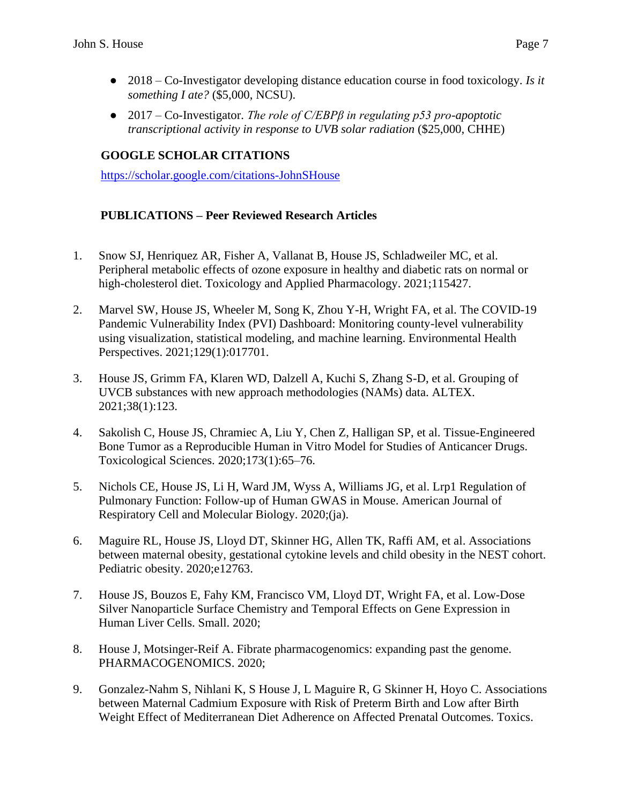- 2018 Co-Investigator developing distance education course in food toxicology. *Is it something I ate?* (\$5,000, NCSU).
- 2017 Co-Investigator. *The role of C/EBPβ in regulating p53 pro-apoptotic transcriptional activity in response to UVB solar radiation* (\$25,000, CHHE)

### **GOOGLE SCHOLAR CITATIONS**

[https://scholar.google.com/citations-JohnSHouse](https://scholar.google.com/citations?hl=en&user=F1OfztcAAAAJ&view_op=list_works&sortby=pubdate) 

#### **PUBLICATIONS – Peer Reviewed Research Articles**

- 1. Snow SJ, Henriquez AR, Fisher A, Vallanat B, House JS, Schladweiler MC, et al. Peripheral metabolic effects of ozone exposure in healthy and diabetic rats on normal or high-cholesterol diet. Toxicology and Applied Pharmacology. 2021;115427.
- 2. Marvel SW, House JS, Wheeler M, Song K, Zhou Y-H, Wright FA, et al. The COVID-19 Pandemic Vulnerability Index (PVI) Dashboard: Monitoring county-level vulnerability using visualization, statistical modeling, and machine learning. Environmental Health Perspectives. 2021;129(1):017701.
- 3. House JS, Grimm FA, Klaren WD, Dalzell A, Kuchi S, Zhang S-D, et al. Grouping of UVCB substances with new approach methodologies (NAMs) data. ALTEX. 2021;38(1):123.
- 4. Sakolish C, House JS, Chramiec A, Liu Y, Chen Z, Halligan SP, et al. Tissue-Engineered Bone Tumor as a Reproducible Human in Vitro Model for Studies of Anticancer Drugs. Toxicological Sciences. 2020;173(1):65–76.
- 5. Nichols CE, House JS, Li H, Ward JM, Wyss A, Williams JG, et al. Lrp1 Regulation of Pulmonary Function: Follow-up of Human GWAS in Mouse. American Journal of Respiratory Cell and Molecular Biology. 2020;(ja).
- 6. Maguire RL, House JS, Lloyd DT, Skinner HG, Allen TK, Raffi AM, et al. Associations between maternal obesity, gestational cytokine levels and child obesity in the NEST cohort. Pediatric obesity. 2020;e12763.
- 7. House JS, Bouzos E, Fahy KM, Francisco VM, Lloyd DT, Wright FA, et al. Low-Dose Silver Nanoparticle Surface Chemistry and Temporal Effects on Gene Expression in Human Liver Cells. Small. 2020;
- 8. House J, Motsinger-Reif A. Fibrate pharmacogenomics: expanding past the genome. PHARMACOGENOMICS. 2020;
- 9. Gonzalez-Nahm S, Nihlani K, S House J, L Maguire R, G Skinner H, Hoyo C. Associations between Maternal Cadmium Exposure with Risk of Preterm Birth and Low after Birth Weight Effect of Mediterranean Diet Adherence on Affected Prenatal Outcomes. Toxics.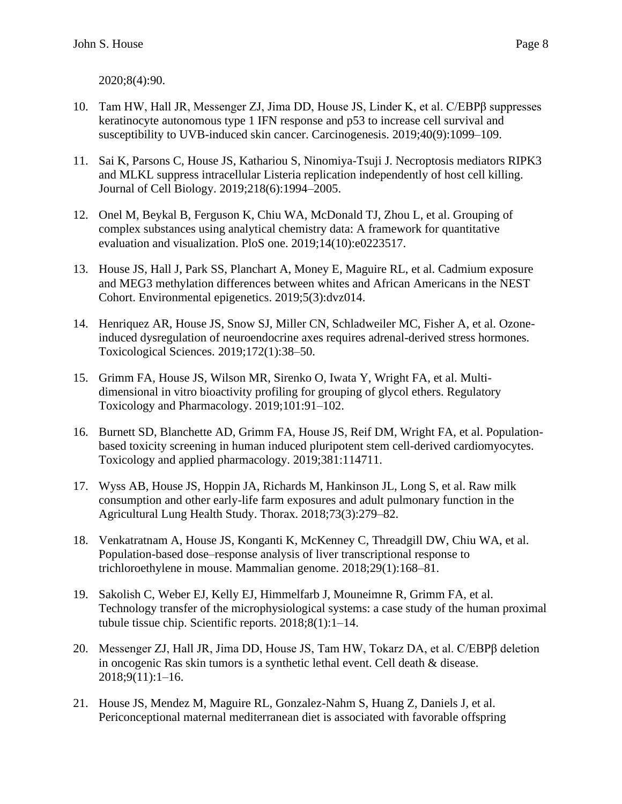2020;8(4):90.

- 10. Tam HW, Hall JR, Messenger ZJ, Jima DD, House JS, Linder K, et al. C/EBPβ suppresses keratinocyte autonomous type 1 IFN response and p53 to increase cell survival and susceptibility to UVB-induced skin cancer. Carcinogenesis. 2019;40(9):1099–109.
- 11. Sai K, Parsons C, House JS, Kathariou S, Ninomiya-Tsuji J. Necroptosis mediators RIPK3 and MLKL suppress intracellular Listeria replication independently of host cell killing. Journal of Cell Biology. 2019;218(6):1994–2005.
- 12. Onel M, Beykal B, Ferguson K, Chiu WA, McDonald TJ, Zhou L, et al. Grouping of complex substances using analytical chemistry data: A framework for quantitative evaluation and visualization. PloS one. 2019;14(10):e0223517.
- 13. House JS, Hall J, Park SS, Planchart A, Money E, Maguire RL, et al. Cadmium exposure and MEG3 methylation differences between whites and African Americans in the NEST Cohort. Environmental epigenetics. 2019;5(3):dvz014.
- 14. Henriquez AR, House JS, Snow SJ, Miller CN, Schladweiler MC, Fisher A, et al. Ozoneinduced dysregulation of neuroendocrine axes requires adrenal-derived stress hormones. Toxicological Sciences. 2019;172(1):38–50.
- 15. Grimm FA, House JS, Wilson MR, Sirenko O, Iwata Y, Wright FA, et al. Multidimensional in vitro bioactivity profiling for grouping of glycol ethers. Regulatory Toxicology and Pharmacology. 2019;101:91–102.
- 16. Burnett SD, Blanchette AD, Grimm FA, House JS, Reif DM, Wright FA, et al. Populationbased toxicity screening in human induced pluripotent stem cell-derived cardiomyocytes. Toxicology and applied pharmacology. 2019;381:114711.
- 17. Wyss AB, House JS, Hoppin JA, Richards M, Hankinson JL, Long S, et al. Raw milk consumption and other early-life farm exposures and adult pulmonary function in the Agricultural Lung Health Study. Thorax. 2018;73(3):279–82.
- 18. Venkatratnam A, House JS, Konganti K, McKenney C, Threadgill DW, Chiu WA, et al. Population-based dose–response analysis of liver transcriptional response to trichloroethylene in mouse. Mammalian genome. 2018;29(1):168–81.
- 19. Sakolish C, Weber EJ, Kelly EJ, Himmelfarb J, Mouneimne R, Grimm FA, et al. Technology transfer of the microphysiological systems: a case study of the human proximal tubule tissue chip. Scientific reports. 2018;8(1):1–14.
- 20. Messenger ZJ, Hall JR, Jima DD, House JS, Tam HW, Tokarz DA, et al. C/EBPβ deletion in oncogenic Ras skin tumors is a synthetic lethal event. Cell death & disease. 2018;9(11):1–16.
- 21. House JS, Mendez M, Maguire RL, Gonzalez-Nahm S, Huang Z, Daniels J, et al. Periconceptional maternal mediterranean diet is associated with favorable offspring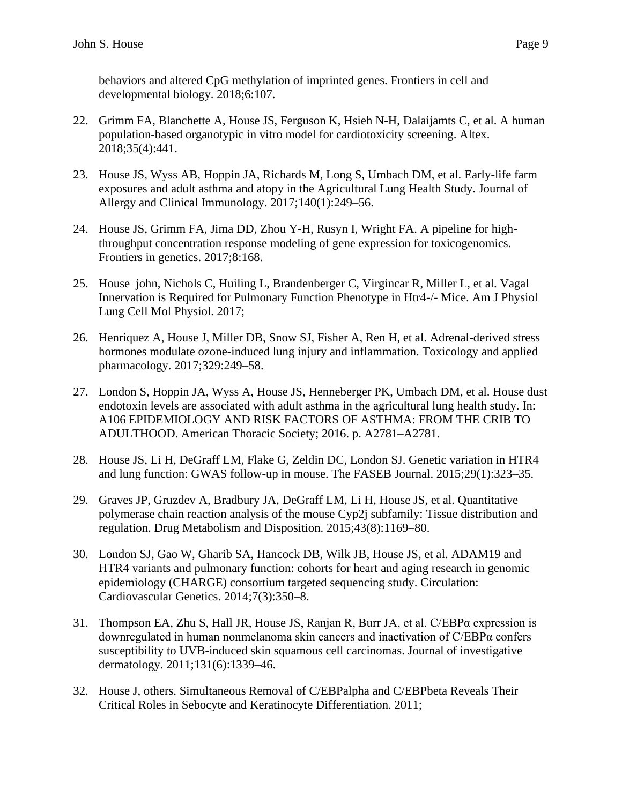behaviors and altered CpG methylation of imprinted genes. Frontiers in cell and developmental biology. 2018;6:107.

- 22. Grimm FA, Blanchette A, House JS, Ferguson K, Hsieh N-H, Dalaijamts C, et al. A human population-based organotypic in vitro model for cardiotoxicity screening. Altex. 2018;35(4):441.
- 23. House JS, Wyss AB, Hoppin JA, Richards M, Long S, Umbach DM, et al. Early-life farm exposures and adult asthma and atopy in the Agricultural Lung Health Study. Journal of Allergy and Clinical Immunology. 2017;140(1):249–56.
- 24. House JS, Grimm FA, Jima DD, Zhou Y-H, Rusyn I, Wright FA. A pipeline for highthroughput concentration response modeling of gene expression for toxicogenomics. Frontiers in genetics. 2017;8:168.
- 25. House john, Nichols C, Huiling L, Brandenberger C, Virgincar R, Miller L, et al. Vagal Innervation is Required for Pulmonary Function Phenotype in Htr4-/- Mice. Am J Physiol Lung Cell Mol Physiol. 2017;
- 26. Henriquez A, House J, Miller DB, Snow SJ, Fisher A, Ren H, et al. Adrenal-derived stress hormones modulate ozone-induced lung injury and inflammation. Toxicology and applied pharmacology. 2017;329:249–58.
- 27. London S, Hoppin JA, Wyss A, House JS, Henneberger PK, Umbach DM, et al. House dust endotoxin levels are associated with adult asthma in the agricultural lung health study. In: A106 EPIDEMIOLOGY AND RISK FACTORS OF ASTHMA: FROM THE CRIB TO ADULTHOOD. American Thoracic Society; 2016. p. A2781–A2781.
- 28. House JS, Li H, DeGraff LM, Flake G, Zeldin DC, London SJ. Genetic variation in HTR4 and lung function: GWAS follow-up in mouse. The FASEB Journal. 2015;29(1):323–35.
- 29. Graves JP, Gruzdev A, Bradbury JA, DeGraff LM, Li H, House JS, et al. Quantitative polymerase chain reaction analysis of the mouse Cyp2j subfamily: Tissue distribution and regulation. Drug Metabolism and Disposition. 2015;43(8):1169–80.
- 30. London SJ, Gao W, Gharib SA, Hancock DB, Wilk JB, House JS, et al. ADAM19 and HTR4 variants and pulmonary function: cohorts for heart and aging research in genomic epidemiology (CHARGE) consortium targeted sequencing study. Circulation: Cardiovascular Genetics. 2014;7(3):350–8.
- 31. Thompson EA, Zhu S, Hall JR, House JS, Ranjan R, Burr JA, et al.  $C/EBP\alpha$  expression is downregulated in human nonmelanoma skin cancers and inactivation of C/EBPα confers susceptibility to UVB-induced skin squamous cell carcinomas. Journal of investigative dermatology. 2011;131(6):1339–46.
- 32. House J, others. Simultaneous Removal of C/EBPalpha and C/EBPbeta Reveals Their Critical Roles in Sebocyte and Keratinocyte Differentiation. 2011;